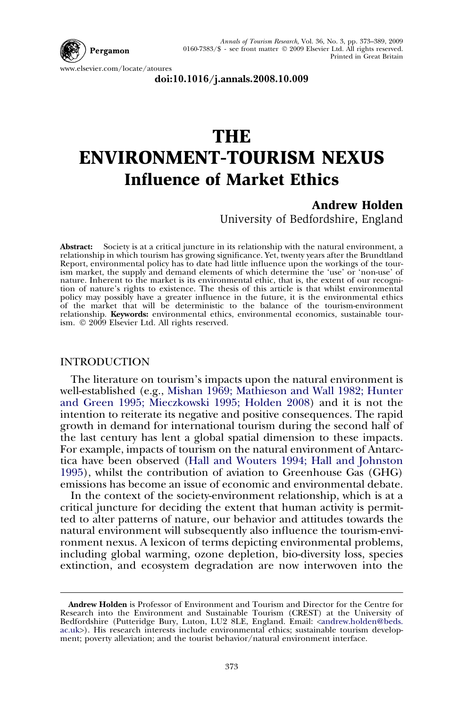

doi:10.1016/j.annals.2008.10.009

## **THE** ENVIRONMENT-TOURISM NEXUS Influence of Market Ethics

## Andrew Holden

University of Bedfordshire, England

Abstract: Society is at a critical juncture in its relationship with the natural environment, a relationship in which tourism has growing significance. Yet, twenty years after the Brundtland Report, environmental policy has to date had little influence upon the workings of the tourism market, the supply and demand elements of which determine the 'use' or 'non-use' of nature. Inherent to the market is its environmental ethic, that is, the extent of our recogni-tion of nature's rights to existence. The thesis of this article is that whilst environmental policy may possibly have a greater influence in the future, it is the environmental ethics of the market that will be deterministic to the balance of the tourism-environment relationship. Keywords: environmental ethics, environmental economics, sustainable tourism. © 2009 Elsevier Ltd. All rights reserved.

## INTRODUCTION

The literature on tourism's impacts upon the natural environment is well-established (e.g., [Mishan 1969; Mathieson and Wall 1982; Hunter](#page--1-0) [and Green 1995; Mieczkowski 1995; Holden 2008\)](#page--1-0) and it is not the intention to reiterate its negative and positive consequences. The rapid growth in demand for international tourism during the second half of the last century has lent a global spatial dimension to these impacts. For example, impacts of tourism on the natural environment of Antarctica have been observed ([Hall and Wouters 1994; Hall and Johnston](#page--1-0) [1995](#page--1-0)), whilst the contribution of aviation to Greenhouse Gas (GHG) emissions has become an issue of economic and environmental debate.

In the context of the society-environment relationship, which is at a critical juncture for deciding the extent that human activity is permitted to alter patterns of nature, our behavior and attitudes towards the natural environment will subsequently also influence the tourism-environment nexus. A lexicon of terms depicting environmental problems, including global warming, ozone depletion, bio-diversity loss, species extinction, and ecosystem degradation are now interwoven into the

**Andrew Holden** is Professor of Environment and Tourism and Director for the Centre for<br>Research into the Environment and Sustainable Tourism (CREST) at the University of<br>Bedfordshire (Putteridge Bury, Luton, LU2 8LE, Engl [ac.uk](http://www.telegraph.co.uk/news)>). His research interests include environmental ethics; sustainable tourism development; poverty alleviation; and the tourist behavior/natural environment interface.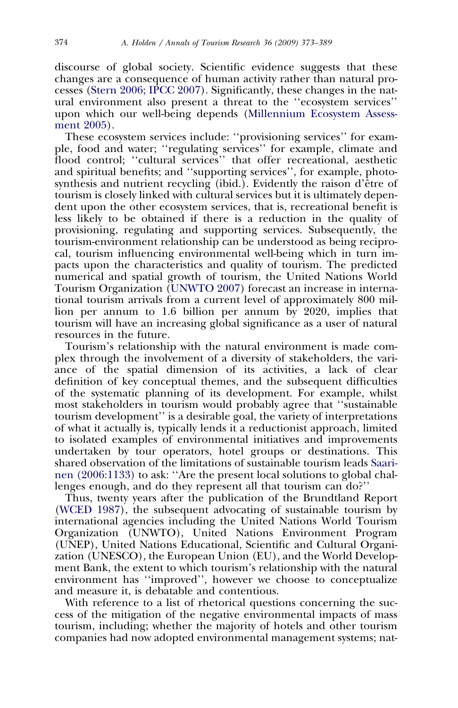discourse of global society. Scientific evidence suggests that these changes are a consequence of human activity rather than natural processes [\(Stern 2006; IPCC 2007\)](#page--1-0). Significantly, these changes in the natural environment also present a threat to the ''ecosystem services'' upon which our well-being depends ([Millennium Ecosystem Assess](#page--1-0)[ment 2005\)](#page--1-0).

These ecosystem services include: ''provisioning services'' for example, food and water; ''regulating services'' for example, climate and flood control; ''cultural services'' that offer recreational, aesthetic and spiritual benefits; and ''supporting services'', for example, photosynthesis and nutrient recycling (ibid.). Evidently the raison d'être of tourism is closely linked with cultural services but it is ultimately dependent upon the other ecosystem services, that is, recreational benefit is less likely to be obtained if there is a reduction in the quality of provisioning, regulating and supporting services. Subsequently, the tourism-environment relationship can be understood as being reciprocal, tourism influencing environmental well-being which in turn impacts upon the characteristics and quality of tourism. The predicted numerical and spatial growth of tourism, the United Nations World Tourism Organization ([UNWTO 2007](#page--1-0)) forecast an increase in international tourism arrivals from a current level of approximately 800 million per annum to 1.6 billion per annum by 2020, implies that tourism will have an increasing global significance as a user of natural resources in the future.

Tourism's relationship with the natural environment is made complex through the involvement of a diversity of stakeholders, the variance of the spatial dimension of its activities, a lack of clear definition of key conceptual themes, and the subsequent difficulties of the systematic planning of its development. For example, whilst most stakeholders in tourism would probably agree that ''sustainable tourism development'' is a desirable goal, the variety of interpretations of what it actually is, typically lends it a reductionist approach, limited to isolated examples of environmental initiatives and improvements undertaken by tour operators, hotel groups or destinations. This shared observation of the limitations of sustainable tourism leads [Saari](#page--1-0)[nen \(2006:1133\)](#page--1-0) to ask: ''Are the present local solutions to global challenges enough, and do they represent all that tourism can do?''

Thus, twenty years after the publication of the Brundtland Report [\(WCED 1987](#page--1-0)), the subsequent advocating of sustainable tourism by international agencies including the United Nations World Tourism Organization (UNWTO), United Nations Environment Program (UNEP), United Nations Educational, Scientific and Cultural Organization (UNESCO), the European Union (EU), and the World Development Bank, the extent to which tourism's relationship with the natural environment has ''improved'', however we choose to conceptualize and measure it, is debatable and contentious.

With reference to a list of rhetorical questions concerning the success of the mitigation of the negative environmental impacts of mass tourism, including; whether the majority of hotels and other tourism companies had now adopted environmental management systems; nat-